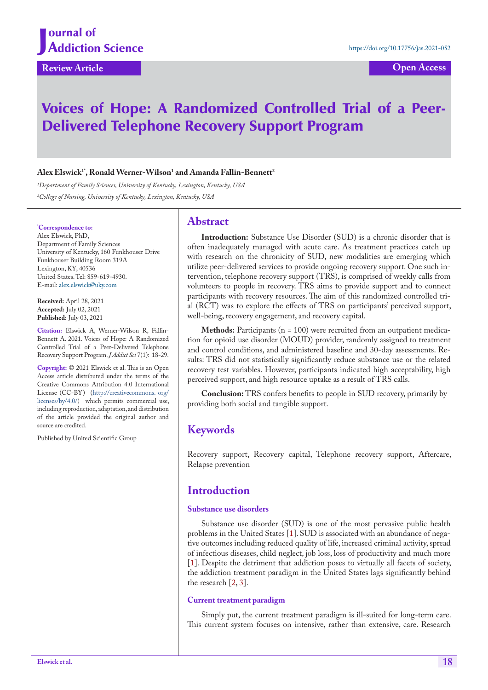# Voices of Hope: A Randomized Controlled Trial of a Peer-Delivered Telephone Recovery Support Program

### $\mathbf{Alex}\}\mathbf{Elswick}^{\mathsf{T}}$ , Ronald Werner-Wilson<sup>1</sup> and Amanda Fallin-Bennett<sup>2</sup>

*1 Department of Family Sciences, University of Kentucky, Lexington, Kentucky, USA 2 College of Nursing, University of Kentucky, Lexington, Kentucky, USA*

#### **\* Correspondence to:**

Alex Elswick, PhD, Department of Family Sciences University of Kentucky, 160 Funkhouser Drive Funkhouser Building Room 319A Lexington, KY, 40536 United States. Tel: 859-619-4930. E-mail: alex.elswick@uky.com

**Received:** April 28, 2021 **Accepted:** July 02, 2021 **Published:** July 03, 2021

**Citation:** Elswick A, Werner-Wilson R, Fallin-Bennett A. 2021. Voices of Hope: A Randomized Controlled Trial of a Peer-Delivered Telephone Recovery Support Program. *J Addict Sci* 7(1): 18-29.

**Copyright:** © 2021 Elswick et al. This is an Open Access article distributed under the terms of the Creative Commons Attribution 4.0 International License (CC-BY) (http://creativecommons. org/ licenses/by/4.0/) which permits commercial use, including reproduction, adaptation, and distribution of the article provided the original author and source are credited.

Published by United Scientific Group

### **Abstract**

**Introduction:** Substance Use Disorder (SUD) is a chronic disorder that is often inadequately managed with acute care. As treatment practices catch up with research on the chronicity of SUD, new modalities are emerging which utilize peer-delivered services to provide ongoing recovery support. One such intervention, telephone recovery support (TRS), is comprised of weekly calls from volunteers to people in recovery. TRS aims to provide support and to connect participants with recovery resources. The aim of this randomized controlled trial (RCT) was to explore the effects of TRS on participants' perceived support, well-being, recovery engagement, and recovery capital.

**Methods:** Participants (n = 100) were recruited from an outpatient medication for opioid use disorder (MOUD) provider, randomly assigned to treatment and control conditions, and administered baseline and 30-day assessments. Results: TRS did not statistically significantly reduce substance use or the related recovery test variables. However, participants indicated high acceptability, high perceived support, and high resource uptake as a result of TRS calls.

**Conclusion:** TRS confers benefits to people in SUD recovery, primarily by providing both social and tangible support.

## **Keywords**

Recovery support, Recovery capital, Telephone recovery support, Aftercare, Relapse prevention

### **Introduction**

#### **Substance use disorders**

Substance use disorder (SUD) is one of the most pervasive public health problems in the United States [\[1](#page-9-0)]. SUD is associated with an abundance of negative outcomes including reduced quality of life, increased criminal activity, spread of infectious diseases, child neglect, job loss, loss of productivity and much more [\[1](#page-9-0)]. Despite the detriment that addiction poses to virtually all facets of society, the addiction treatment paradigm in the United States lags significantly behind the research [[2,](#page-9-1) [3](#page-9-2)].

#### **Current treatment paradigm**

Simply put, the current treatment paradigm is ill-suited for long-term care. This current system focuses on intensive, rather than extensive, care. Research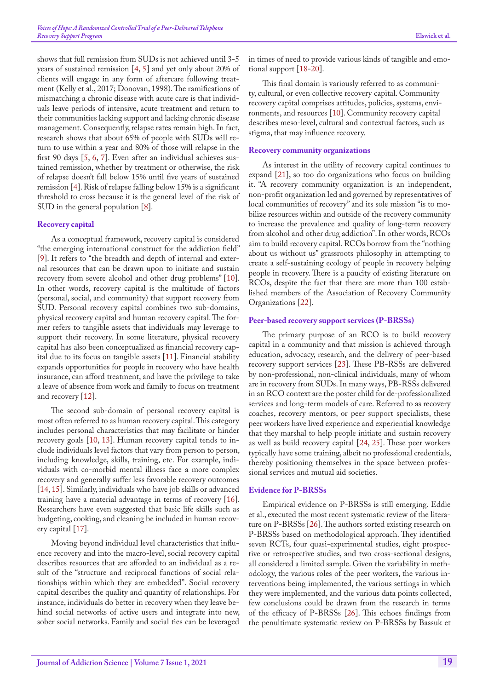shows that full remission from SUDs is not achieved until 3-5 years of sustained remission [[4,](#page-9-3) [5\]](#page-9-4) and yet only about 20% of clients will engage in any form of aftercare following treatment (Kelly et al., 2017; Donovan, 1998). The ramifications of mismatching a chronic disease with acute care is that individuals leave periods of intensive, acute treatment and return to their communities lacking support and lacking chronic disease management. Consequently, relapse rates remain high. In fact, research shows that about 65% of people with SUDs will return to use within a year and 80% of those will relapse in the first 90 days [\[5](#page-9-4), [6,](#page-9-5) [7\]](#page-9-6). Even after an individual achieves sustained remission, whether by treatment or otherwise, the risk of relapse doesn't fall below 15% until five years of sustained remission [\[4](#page-9-3)]. Risk of relapse falling below 15% is a significant threshold to cross because it is the general level of the risk of SUD in the general population [8].

#### **Recovery capital**

As a conceptual framework, recovery capital is considered "the emerging international construct for the addiction field" [[9\]](#page-9-7). It refers to "the breadth and depth of internal and external resources that can be drawn upon to initiate and sustain recovery from severe alcohol and other drug problems" [10]. In other words, recovery capital is the multitude of factors (personal, social, and community) that support recovery from SUD. Personal recovery capital combines two sub-domains, physical recovery capital and human recovery capital. The former refers to tangible assets that individuals may leverage to support their recovery. In some literature, physical recovery capital has also been conceptualized as financial recovery capital due to its focus on tangible assets [[11\]](#page-10-0). Financial stability expands opportunities for people in recovery who have health insurance, can afford treatment, and have the privilege to take a leave of absence from work and family to focus on treatment and recovery [\[12](#page-10-1)].

The second sub-domain of personal recovery capital is most often referred to as human recovery capital. This category includes personal characteristics that may facilitate or hinder recovery goals [10, [13](#page-10-2)]. Human recovery capital tends to include individuals level factors that vary from person to person, including knowledge, skills, training, etc. For example, individuals with co-morbid mental illness face a more complex recovery and generally suffer less favorable recovery outcomes [[14,](#page-10-3) [15](#page-10-4)]. Similarly, individuals who have job skills or advanced training have a material advantage in terms of recovery [[16\]](#page-10-5). Researchers have even suggested that basic life skills such as budgeting, cooking, and cleaning be included in human recovery capital [[17\]](#page-10-6).

Moving beyond individual level characteristics that influence recovery and into the macro-level, social recovery capital describes resources that are afforded to an individual as a result of the "structure and reciprocal functions of social relationships within which they are embedded". Social recovery capital describes the quality and quantity of relationships. For instance, individuals do better in recovery when they leave behind social networks of active users and integrate into new, sober social networks. Family and social ties can be leveraged

in times of need to provide various kinds of tangible and emotional support [\[18](#page-10-7)-[20\]](#page-10-8).

This final domain is variously referred to as community, cultural, or even collective recovery capital. Community recovery capital comprises attitudes, policies, systems, environments, and resources [10]. Community recovery capital describes meso-level, cultural and contextual factors, such as stigma, that may influence recovery.

#### **Recovery community organizations**

As interest in the utility of recovery capital continues to expand [[21\]](#page-10-9), so too do organizations who focus on building it. "A recovery community organization is an independent, non-profit organization led and governed by representatives of local communities of recovery" and its sole mission "is to mobilize resources within and outside of the recovery community to increase the prevalence and quality of long-term recovery from alcohol and other drug addiction". In other words, RCOs aim to build recovery capital. RCOs borrow from the "nothing about us without us" grassroots philosophy in attempting to create a self-sustaining ecology of people in recovery helping people in recovery. There is a paucity of existing literature on RCOs, despite the fact that there are more than 100 established members of the Association of Recovery Community Organizations [[22\]](#page-10-10).

#### **Peer-based recovery support services (P-BRSSs)**

The primary purpose of an RCO is to build recovery capital in a community and that mission is achieved through education, advocacy, research, and the delivery of peer-based recovery support services [23]. These PB-RSSs are delivered by non-professional, non-clinical individuals, many of whom are in recovery from SUDs. In many ways, PB-RSSs delivered in an RCO context are the poster child for de-professionalized services and long-term models of care. Referred to as recovery coaches, recovery mentors, or peer support specialists, these peer workers have lived experience and experiential knowledge that they marshal to help people initiate and sustain recovery as well as build recovery capital [[24,](#page-10-11) 25]. These peer workers typically have some training, albeit no professional credentials, thereby positioning themselves in the space between professional services and mutual aid societies.

#### **Evidence for P-BRSSs**

Empirical evidence on P-BRSSs is still emerging. Eddie et al., executed the most recent systematic review of the literature on P-BRSSs [[26\]](#page-10-12). The authors sorted existing research on P-BRSSs based on methodological approach. They identified seven RCTs, four quasi-experimental studies, eight prospective or retrospective studies, and two cross-sectional designs, all considered a limited sample. Given the variability in methodology, the various roles of the peer workers, the various interventions being implemented, the various settings in which they were implemented, and the various data points collected, few conclusions could be drawn from the research in terms of the efficacy of P-BRSSs [[26\]](#page-10-12). This echoes findings from the penultimate systematic review on P-BRSSs by Bassuk et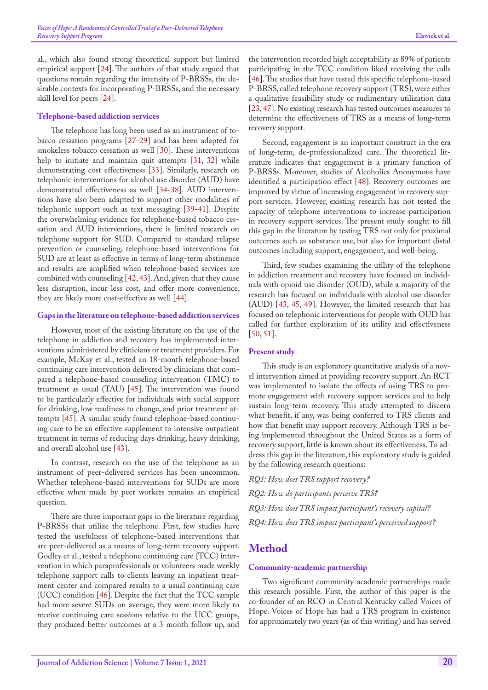al., which also found strong theoretical support but limited empirical support [[24\]](#page-10-11). The authors of that study argued that questions remain regarding the intensity of P-BRSSs, the desirable contexts for incorporating P-BRSSs, and the necessary skill level for peers [[24\]](#page-10-11).

#### **Telephone-based addiction services**

The telephone has long been used as an instrument of tobacco cessation programs [[27-](#page-10-13)[29\]](#page-10-14) and has been adapted for smokeless tobacco cessation as well [\[30](#page-10-15)]. These interventions help to initiate and maintain quit attempts [[31,](#page-10-16) 32] while demonstrating cost effectiveness [33]. Similarly, research on telephonic interventions for alcohol use disorder (AUD) have demonstrated effectiveness as well [\[34](#page-10-17)[-38](#page-10-18)]. AUD interventions have also been adapted to support other modalities of telephonic support such as text messaging [\[39](#page-10-19)[-41](#page-10-20)]. Despite the overwhelming evidence for telephone-based tobacco cessation and AUD interventions, there is limited research on telephone support for SUD. Compared to standard relapse prevention or counseling, telephone-based interventions for SUD are at least as effective in terms of long-term abstinence and results are amplified when telephone-based services are combined with counseling [[42,](#page-10-21) [43\]](#page-10-22). And, given that they cause less disruption, incur less cost, and offer more convenience, they are likely more cost-effective as well [[44\]](#page-10-23).

#### **Gaps in the literature on telephone-based addiction services**

However, most of the existing literature on the use of the telephone in addiction and recovery has implemented interventions administered by clinicians or treatment providers. For example, McKay et al., tested an 18-month telephone-based continuing care intervention delivered by clinicians that compared a telephone-based counseling intervention (TMC) to treatment as usual (TAU) [\[45](#page-11-0)]. The intervention was found to be particularly effective for individuals with social support for drinking, low readiness to change, and prior treatment attempts [\[45](#page-11-0)]. A similar study found telephone-based continuing care to be an effective supplement to intensive outpatient treatment in terms of reducing days drinking, heavy drinking, and overall alcohol use [[43\]](#page-10-22).

In contrast, research on the use of the telephone as an instrument of peer-delivered services has been uncommon. Whether telephone-based interventions for SUDs are more effective when made by peer workers remains an empirical question.

There are three important gaps in the literature regarding P-BRSSs that utilize the telephone. First, few studies have tested the usefulness of telephone-based interventions that are peer-delivered as a means of long-term recovery support. Godley et al., tested a telephone continuing care (TCC) intervention in which paraprofessionals or volunteers made weekly telephone support calls to clients leaving an inpatient treatment center and compared results to a usual continuing care (UCC) condition [\[46](#page-11-1)]. Despite the fact that the TCC sample had more severe SUDs on average, they were more likely to receive continuing care sessions relative to the UCC groups, they produced better outcomes at a 3 month follow up, and

the intervention recorded high acceptability as 89% of patients participating in the TCC condition liked receiving the calls [[46\]](#page-11-1). The studies that have tested this specific telephone-based P-BRSS, called telephone recovery support (TRS), were either a qualitative feasibility study or rudimentary utilization data [23, [47\]](#page-11-2). No existing research has tested outcomes measures to determine the effectiveness of TRS as a means of long-term recovery support.

Second, engagement is an important construct in the era of long-term, de-professionalized care. The theoretical literature indicates that engagement is a primary function of P-BRSSs. Moreover, studies of Alcoholics Anonymous have identified a participation effect [[48\]](#page-11-3). Recovery outcomes are improved by virtue of increasing engagement in recovery support services. However, existing research has not tested the capacity of telephone interventions to increase participation in recovery support services. The present study sought to fill this gap in the literature by testing TRS not only for proximal outcomes such as substance use, but also for important distal outcomes including support, engagement, and well-being.

Third, few studies examining the utility of the telephone in addiction treatment and recovery have focused on individuals with opioid use disorder (OUD), while a majority of the research has focused on individuals with alcohol use disorder (AUD) [[43,](#page-10-22) [45,](#page-11-0) [49](#page-11-4)]. However, the limited research that has focused on telephonic interventions for people with OUD has called for further exploration of its utility and effectiveness [[50,](#page-11-5) 51].

#### **Present study**

This study is an exploratory quantitative analysis of a novel intervention aimed at providing recovery support. An RCT was implemented to isolate the effects of using TRS to promote engagement with recovery support services and to help sustain long-term recovery. This study attempted to discern what benefit, if any, was being conferred to TRS clients and how that benefit may support recovery. Although TRS is being implemented throughout the United States as a form of recovery support, little is known about its effectiveness. To address this gap in the literature, this exploratory study is guided by the following research questions:

*RQ1: How does TRS support recovery? RQ2: How do participants perceive TRS? RQ3: How does TRS impact participant's recovery capital? RQ4: How does TRS impact participant's perceived support?*

### **Method**

#### **Community-academic partnership**

Two significant community-academic partnerships made this research possible. First, the author of this paper is the co-founder of an RCO in Central Kentucky called Voices of Hope. Voices of Hope has had a TRS program in existence for approximately two years (as of this writing) and has served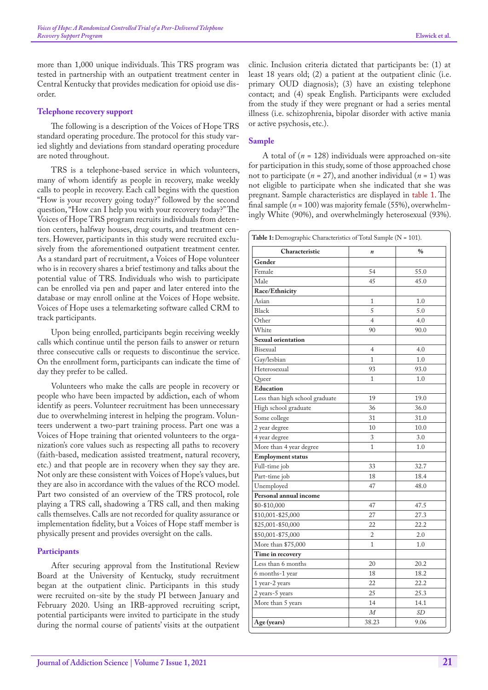more than 1,000 unique individuals. This TRS program was tested in partnership with an outpatient treatment center in Central Kentucky that provides medication for opioid use disorder.

#### **Telephone recovery support**

The following is a description of the Voices of Hope TRS standard operating procedure. The protocol for this study varied slightly and deviations from standard operating procedure are noted throughout.

TRS is a telephone-based service in which volunteers, many of whom identify as people in recovery, make weekly calls to people in recovery. Each call begins with the question "How is your recovery going today?" followed by the second question, "How can I help you with your recovery today?" The Voices of Hope TRS program recruits individuals from detention centers, halfway houses, drug courts, and treatment centers. However, participants in this study were recruited exclusively from the aforementioned outpatient treatment center. As a standard part of recruitment, a Voices of Hope volunteer who is in recovery shares a brief testimony and talks about the potential value of TRS. Individuals who wish to participate can be enrolled via pen and paper and later entered into the database or may enroll online at the Voices of Hope website. Voices of Hope uses a telemarketing software called CRM to track participants.

Upon being enrolled, participants begin receiving weekly calls which continue until the person fails to answer or return three consecutive calls or requests to discontinue the service. On the enrollment form, participants can indicate the time of day they prefer to be called.

Volunteers who make the calls are people in recovery or people who have been impacted by addiction, each of whom identify as peers. Volunteer recruitment has been unnecessary due to overwhelming interest in helping the program. Volunteers underwent a two-part training process. Part one was a Voices of Hope training that oriented volunteers to the organization's core values such as respecting all paths to recovery (faith-based, medication assisted treatment, natural recovery, etc.) and that people are in recovery when they say they are. Not only are these consistent with Voices of Hope's values, but they are also in accordance with the values of the RCO model. Part two consisted of an overview of the TRS protocol, role playing a TRS call, shadowing a TRS call, and then making calls themselves. Calls are not recorded for quality assurance or implementation fidelity, but a Voices of Hope staff member is physically present and provides oversight on the calls.

#### **Participants**

After securing approval from the Institutional Review Board at the University of Kentucky, study recruitment began at the outpatient clinic. Participants in this study were recruited on-site by the study PI between January and February 2020. Using an IRB-approved recruiting script, potential participants were invited to participate in the study during the normal course of patients' visits at the outpatient

clinic. Inclusion criteria dictated that participants be: (1) at least 18 years old; (2) a patient at the outpatient clinic (i.e. primary OUD diagnosis); (3) have an existing telephone contact; and (4) speak English. Participants were excluded from the study if they were pregnant or had a series mental illness (i.e. schizophrenia, bipolar disorder with active mania or active psychosis, etc.).

#### **Sample**

A total of  $(n = 128)$  individuals were approached on-site for participation in this study, some of those approached chose not to participate  $(n = 27)$ , and another individual  $(n = 1)$  was not eligible to participate when she indicated that she was pregnant. Sample characteristics are displayed in [table 1](#page-3-0). The final sample (*n* = 100) was majority female (55%), overwhelmingly White (90%), and overwhelmingly heterosexual (93%).

<span id="page-3-0"></span>

| Characteristic                 | $\boldsymbol{n}$ | $\%$      |
|--------------------------------|------------------|-----------|
| Gender                         |                  |           |
| Female                         | 54               | 55.0      |
| Male                           | 45               | 45.0      |
| Race/Ethnicity                 |                  |           |
| Asian                          | 1                | 1.0       |
| <b>Black</b>                   | 5                | 5.0       |
| Other                          | $\overline{4}$   | 4.0       |
| White                          | 90               | 90.0      |
| Sexual orientation             |                  |           |
| Bisexual                       | $\overline{4}$   | 4.0       |
| Gay/lesbian                    | $\mathbf{1}$     | 1.0       |
| Heterosexual                   | 93               | 93.0      |
| Queer                          | 1                | 1.0       |
| Education                      |                  |           |
| Less than high school graduate | 19               | 19.0      |
| High school graduate           | 36               | 36.0      |
| Some college                   | 31               | 31.0      |
| 2 year degree                  | 10               | 10.0      |
| 4 year degree                  | 3                | 3.0       |
| More than 4 year degree        | $\mathbf{1}$     | 1.0       |
| <b>Employment status</b>       |                  |           |
| Full-time job                  | 33               | 32.7      |
| Part-time job                  | 18               | 18.4      |
| Unemployed                     | 47               | 48.0      |
| Personal annual income         |                  |           |
| \$0-\$10,000                   | 47               | 47.5      |
| \$10,001-\$25,000              | 27               | 27.3      |
| \$25,001-\$50,000              | 22               | 22.2      |
| \$50,001-\$75,000              | $\overline{c}$   | 2.0       |
| More than \$75,000             | 1                | 1.0       |
| Time in recovery               |                  |           |
| Less than 6 months             | 20               | 20.2      |
| 6 months-1 year                | 18               | 18.2      |
| 1 year-2 years                 | 22               | 22.2      |
| 2 years-5 years                | 25               | 25.3      |
| More than 5 years              | 14               | 14.1      |
|                                | $\overline{M}$   | <b>SD</b> |
| Age (years)                    | 38.23            | 9.06      |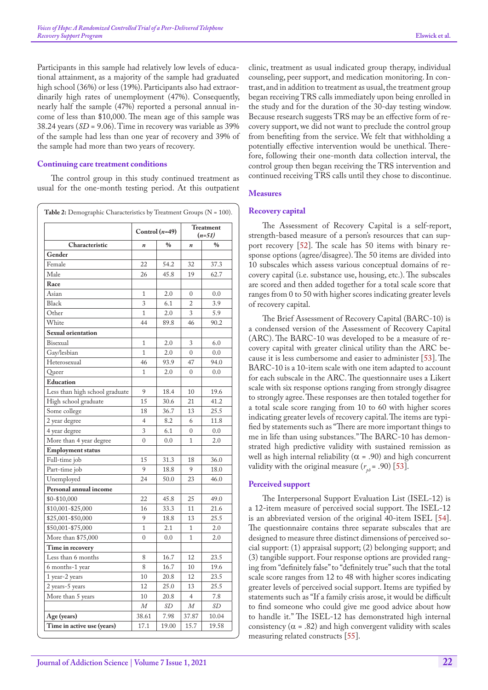Participants in this sample had relatively low levels of educational attainment, as a majority of the sample had graduated high school (36%) or less (19%). Participants also had extraordinarily high rates of unemployment (47%). Consequently, nearly half the sample (47%) reported a personal annual income of less than \$10,000. The mean age of this sample was 38.24 years (*SD* = 9.06). Time in recovery was variable as 39% of the sample had less than one year of recovery and 39% of the sample had more than two years of recovery.

#### **Continuing care treatment conditions**

The control group in this study continued treatment as usual for the one-month testing period. At this outpatient

|                                |                  | Control $(n=49)$ |                  | <b>Treatment</b><br>$(n=51)$ |
|--------------------------------|------------------|------------------|------------------|------------------------------|
| Characteristic                 | $\boldsymbol{n}$ | $\%$             | $\boldsymbol{n}$ | $\frac{0}{0}$                |
| Gender                         |                  |                  |                  |                              |
| Female                         | 22               | 54.2             | 32               | 37.3                         |
| Male                           | 26               | 45.8             | 19               | 62.7                         |
| Race                           |                  |                  |                  |                              |
| Asian                          | 1                | 2.0              | 0                | 0.0                          |
| <b>Black</b>                   | 3                | 6.1              | $\overline{2}$   | 3.9                          |
| Other                          | $\overline{1}$   | 2.0              | 3                | 5.9                          |
| White                          | 44               | 89.8             | 46               | 90.2                         |
| Sexual orientation             |                  |                  |                  |                              |
| Bisexual                       | $\overline{1}$   | 2.0              | 3                | 6.0                          |
| Gay/lesbian                    | $\overline{1}$   | 2.0              | $\overline{0}$   | 0.0                          |
| Heterosexual                   | 46               | 93.9             | 47               | 94.0                         |
| Queer                          | 1                | 2.0              | 0                | 0.0                          |
| Education                      |                  |                  |                  |                              |
| Less than high school graduate | 9                | 18.4             | 10               | 19.6                         |
| High school graduate           | 15               | 30.6             | 21               | 41.2                         |
| Some college                   | 18               | 36.7             | 13               | 25.5                         |
| 2 year degree                  | $\overline{4}$   | 8.2              | 6                | 11.8                         |
| 4 year degree                  | 3                | 6.1              | $\mathbf{0}$     | 0.0                          |
| More than 4 year degree        | $\overline{0}$   | 0.0              | $\mathbf{1}$     | 2.0                          |
| <b>Employment status</b>       |                  |                  |                  |                              |
| Full-time job                  | 15               | 31.3             | 18               | 36.0                         |
| Part-time job                  | 9                | 18.8             | 9                | 18.0                         |
| Unemployed                     | 24               | 50.0             | 23               | 46.0                         |
| Personal annual income         |                  |                  |                  |                              |
| \$0-\$10,000                   | 22               | 45.8             | 25               | 49.0                         |
| \$10,001-\$25,000              | 16               | 33.3             | 11               | 21.6                         |
| \$25,001-\$50,000              | 9                | 18.8             | 13               | 25.5                         |
| \$50,001-\$75,000              | $\mathbf{1}$     | 2.1              | $\mathbf{1}$     | 2.0                          |
| More than \$75,000             | $\mathbf{0}$     | 0.0              | 1                | 2.0                          |
| Time in recovery               |                  |                  |                  |                              |
| Less than 6 months             | 8                | 16.7             | 12               | 23.5                         |
| 6 months-1 year                | 8                | 16.7             | 10               | 19.6                         |
| 1 year-2 years                 | 10               | 20.8             | 12               | 23.5                         |
| 2 years-5 years                | 12               | 25.0             | 13               | 25.5                         |
| More than 5 years              | 10               | 20.8             | $\overline{4}$   | 7.8                          |
|                                | $\cal M$         | $\emph{SD}$      | М                | SD                           |
| Age (years)                    | 38.61            | 7.98             | 37.87            | 10.04                        |
| Time in active use (years)     | 17.1             | 19.00            | 15.7             | 19.58                        |

clinic, treatment as usual indicated group therapy, individual counseling, peer support, and medication monitoring. In contrast, and in addition to treatment as usual, the treatment group began receiving TRS calls immediately upon being enrolled in the study and for the duration of the 30-day testing window. Because research suggests TRS may be an effective form of recovery support, we did not want to preclude the control group from benefiting from the service. We felt that withholding a potentially effective intervention would be unethical. Therefore, following their one-month data collection interval, the control group then began receiving the TRS intervention and continued receiving TRS calls until they chose to discontinue.

#### **Measures**

#### **Recovery capital**

The Assessment of Recovery Capital is a self-report, strength-based measure of a person's resources that can support recovery [[52\]](#page-11-6). The scale has 50 items with binary response options (agree/disagree). The 50 items are divided into 10 subscales which assess various conceptual domains of recovery capital (i.e. substance use, housing, etc.). The subscales are scored and then added together for a total scale score that ranges from 0 to 50 with higher scores indicating greater levels of recovery capital.

The Brief Assessment of Recovery Capital (BARC-10) is a condensed version of the Assessment of Recovery Capital (ARC). The BARC-10 was developed to be a measure of recovery capital with greater clinical utility than the ARC because it is less cumbersome and easier to administer [53]. The BARC-10 is a 10-item scale with one item adapted to account for each subscale in the ARC. The questionnaire uses a Likert scale with six response options ranging from strongly disagree to strongly agree. These responses are then totaled together for a total scale score ranging from 10 to 60 with higher scores indicating greater levels of recovery capital. The items are typified by statements such as "There are more important things to me in life than using substances." The BARC-10 has demonstrated high predictive validity with sustained remission as well as high internal reliability ( $\alpha$  = .90) and high concurrent validity with the original measure  $(r_{ab} = .90)$  [53].

#### **Perceived support**

The Interpersonal Support Evaluation List (ISEL-12) is a 12-item measure of perceived social support. The ISEL-12 is an abbreviated version of the original 40-item ISEL [[54\]](#page-11-7). The questionnaire contains three separate subscales that are designed to measure three distinct dimensions of perceived social support: (1) appraisal support; (2) belonging support; and (3) tangible support. Four response options are provided ranging from "definitely false" to "definitely true" such that the total scale score ranges from 12 to 48 with higher scores indicating greater levels of perceived social support. Items are typified by statements such as "If a family crisis arose, it would be difficult to find someone who could give me good advice about how to handle it." The ISEL-12 has demonstrated high internal consistency ( $\alpha$  = .82) and high convergent validity with scales measuring related constructs [[55\]](#page-11-8).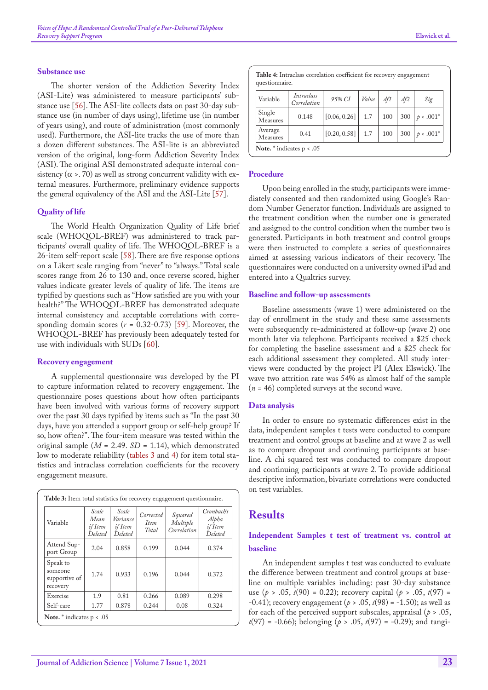#### **Substance use**

The shorter version of the Addiction Severity Index (ASI-Lite) was administered to measure participants' substance use [\[56](#page-11-9)]. The ASI-lite collects data on past 30-day substance use (in number of days using), lifetime use (in number of years using), and route of administration (most commonly used). Furthermore, the ASI-lite tracks the use of more than a dozen different substances. The ASI-lite is an abbreviated version of the original, long-form Addiction Severity Index (ASI). The original ASI demonstrated adequate internal consistency  $(\alpha > 0)$  as well as strong concurrent validity with external measures. Furthermore, preliminary evidence supports the general equivalency of the ASI and the ASI-Lite [[57\]](#page-11-10).

#### **Quality of life**

The World Health Organization Quality of Life brief scale (WHOQOL-BREF) was administered to track participants' overall quality of life. The WHOQOL-BREF is a 26-item self-report scale [58]. There are five response options on a Likert scale ranging from "never" to "always." Total scale scores range from 26 to 130 and, once reverse scored, higher values indicate greater levels of quality of life. The items are typified by questions such as "How satisfied are you with your health?" The WHOQOL-BREF has demonstrated adequate internal consistency and acceptable correlations with corresponding domain scores  $(r = 0.32 - 0.73)$  [[59\]](#page-11-11). Moreover, the WHOQOL-BREF has previously been adequately tested for use with individuals with SUDs [[60\]](#page-11-12).

#### **Recovery engagement**

A supplemental questionnaire was developed by the PI to capture information related to recovery engagement. The questionnaire poses questions about how often participants have been involved with various forms of recovery support over the past 30 days typified by items such as "In the past 30 days, have you attended a support group or self-help group? If so, how often?". The four-item measure was tested within the original sample  $(M = 2.49, SD = 1.14)$ , which demonstrated low to moderate reliability [\(tables 3](#page-5-0) and [4](#page-5-1)) for item total statistics and intraclass correlation coefficients for the recovery engagement measure.

<span id="page-5-0"></span>

| Variable                                         | Scale<br>Mean<br>if Item<br><b>Deleted</b> | Scale<br>Variance<br>if Item<br>Deleted | Corrected<br><i>Item</i><br>Total | Squared<br>Multiple<br>Correlation | Cronbach's<br>Alpha<br>if Item<br>Deleted |
|--------------------------------------------------|--------------------------------------------|-----------------------------------------|-----------------------------------|------------------------------------|-------------------------------------------|
| Attend Sup-<br>port Group                        | 2.04                                       | 0.858                                   | 0.199                             | 0.044                              | 0.374                                     |
| Speak to<br>someone<br>supportive of<br>recovery | 1.74                                       | 0.933                                   | 0.196                             | 0.044                              | 0.372                                     |
| Exercise                                         | 1.9                                        | 0.81                                    | 0.266                             | 0.089                              | 0.298                                     |
| Self-care                                        | 1.77                                       | 0.878                                   | 0.244                             | 0.08                               | 0.324                                     |

<span id="page-5-1"></span>

|                     | Table 4: Intraclass correlation coefficient for recovery engagement<br>questionnaire. |              |       |     |     |             |  |  |  |  |
|---------------------|---------------------------------------------------------------------------------------|--------------|-------|-----|-----|-------------|--|--|--|--|
| Variable            | Intraclass<br>Correlation                                                             | 95% CI       | Value | df1 | df2 | Sig         |  |  |  |  |
| Single<br>Measures  | 0.148                                                                                 | [0.06, 0.26] | 1.7   | 100 | 300 | $p < .001*$ |  |  |  |  |
| Average<br>Measures | 0.41                                                                                  | [0.20, 0.58] | 1.7   | 100 | 300 | $p < .001*$ |  |  |  |  |

#### **Procedure**

**Note.** \* indicates p < .05

Upon being enrolled in the study, participants were immediately consented and then randomized using Google's Random Number Generator function. Individuals are assigned to the treatment condition when the number one is generated and assigned to the control condition when the number two is generated. Participants in both treatment and control groups were then instructed to complete a series of questionnaires aimed at assessing various indicators of their recovery. The questionnaires were conducted on a university owned iPad and entered into a Qualtrics survey.

#### **Baseline and follow-up assessments**

Baseline assessments (wave 1) were administered on the day of enrollment in the study and these same assessments were subsequently re-administered at follow-up (wave 2) one month later via telephone. Participants received a \$25 check for completing the baseline assessment and a \$25 check for each additional assessment they completed. All study interviews were conducted by the project PI (Alex Elswick). The wave two attrition rate was 54% as almost half of the sample (*n* = 46) completed surveys at the second wave.

#### **Data analysis**

In order to ensure no systematic differences exist in the data, independent samples t tests were conducted to compare treatment and control groups at baseline and at wave 2 as well as to compare dropout and continuing participants at baseline. A chi squared test was conducted to compare dropout and continuing participants at wave 2. To provide additional descriptive information, bivariate correlations were conducted on test variables.

### **Results**

### **Independent Samples t test of treatment vs. control at baseline**

An independent samples t test was conducted to evaluate the difference between treatment and control groups at baseline on multiple variables including: past 30-day substance use  $(p > .05, t(90) = 0.22)$ ; recovery capital  $(p > .05, t(97) =$ -0.41); recovery engagement (*p* > .05, *t*(98) = -1.50); as well as for each of the perceived support subscales, appraisal (*p* > .05, *t*(97) = -0.66); belonging (*p* > .05, *t*(97) = -0.29); and tangi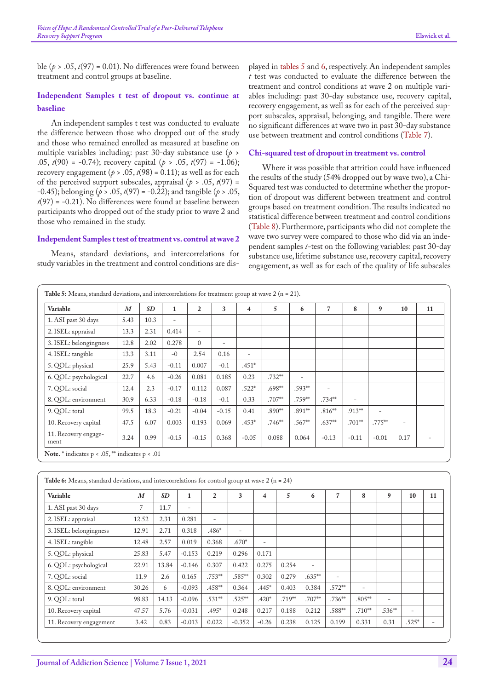ble  $(p > .05, t(97) = 0.01)$ . No differences were found between treatment and control groups at baseline.

### **Independent Samples t test of dropout vs. continue at baseline**

An independent samples t test was conducted to evaluate the difference between those who dropped out of the study and those who remained enrolled as measured at baseline on multiple variables including: past 30-day substance use (*p* > .05, *t*(90) = -0.74); recovery capital (*p* > .05, *t*(97) = -1.06); recovery engagement ( $p > .05$ ,  $t(98) = 0.11$ ); as well as for each of the perceived support subscales, appraisal ( $p > .05$ ,  $t(97) =$ -0.45); belonging (*p* > .05, *t*(97) = -0.22); and tangible (*p* > .05, *t*(97) = -0.21). No differences were found at baseline between participants who dropped out of the study prior to wave 2 and those who remained in the study.

#### **Independent Samples t test of treatment vs. control at wave 2**

Means, standard deviations, and intercorrelations for study variables in the treatment and control conditions are displayed in [tables 5](#page-6-0) and [6,](#page-6-1) respectively. An independent samples *t* test was conducted to evaluate the difference between the treatment and control conditions at wave 2 on multiple variables including: past 30-day substance use, recovery capital, recovery engagement, as well as for each of the perceived support subscales, appraisal, belonging, and tangible. There were no significant differences at wave two in past 30-day substance use between treatment and control conditions [\(Table 7](#page-7-0)).

#### **Chi-squared test of dropout in treatment vs. control**

Where it was possible that attrition could have influenced the results of the study (54% dropped out by wave two), a Chi-Squared test was conducted to determine whether the proportion of dropout was different between treatment and control groups based on treatment condition. The results indicated no statistical difference between treatment and control conditions ([Table 8](#page-7-1)). Furthermore, participants who did not complete the wave two survey were compared to those who did via an independent samples *t-*test on the following variables: past 30-day substance use, lifetime substance use, recovery capital, recovery engagement, as well as for each of the quality of life subscales

<span id="page-6-0"></span>

| Variable                     | $\boldsymbol{M}$ | SD   | 1                        | $\mathbf{2}$             | 3              | $\overline{\mathbf{4}}$  | 5         | 6                        | $\overline{7}$           | 8              | 9                        | 10             | 11                       |
|------------------------------|------------------|------|--------------------------|--------------------------|----------------|--------------------------|-----------|--------------------------|--------------------------|----------------|--------------------------|----------------|--------------------------|
| 1. ASI past 30 days          | 5.43             | 10.3 | $\overline{\phantom{a}}$ |                          |                |                          |           |                          |                          |                |                          |                |                          |
| 2. ISEL: appraisal           | 13.3             | 2.31 | 0.414                    | $\overline{\phantom{a}}$ |                |                          |           |                          |                          |                |                          |                |                          |
| 3. ISEL: belongingness       | 12.8             | 2.02 | 0.278                    | $\Omega$                 | $\overline{a}$ |                          |           |                          |                          |                |                          |                |                          |
| 4. ISEL: tangible            | 13.3             | 3.11 | $-()$                    | 2.54                     | 0.16           | $\overline{\phantom{a}}$ |           |                          |                          |                |                          |                |                          |
| 5. QOL: physical             | 25.9             | 5.43 | $-0.11$                  | 0.007                    | $-0.1$         | $.451*$                  |           |                          |                          |                |                          |                |                          |
| 6. QOL: psychological        | 22.7             | 4.6  | $-0.26$                  | 0.081                    | 0.185          | 0.23                     | $.732***$ | $\overline{\phantom{0}}$ |                          |                |                          |                |                          |
| 7. OOL: social               | 12.4             | 2.3  | $-0.17$                  | 0.112                    | 0.087          | $.522*$                  | $.698***$ | $.593***$                | $\overline{\phantom{a}}$ |                |                          |                |                          |
| 8. QOL: environment          | 30.9             | 6.33 | $-0.18$                  | $-0.18$                  | $-0.1$         | 0.33                     | $.707***$ | .759**                   | $.734***$                | $\overline{a}$ |                          |                |                          |
| 9. QOL: total                | 99.5             | 18.3 | $-0.21$                  | $-0.04$                  | $-0.15$        | 0.41                     | $.890***$ | $.891***$                | $.816***$                | $.913***$      | $\overline{\phantom{a}}$ |                |                          |
| 10. Recovery capital         | 47.5             | 6.07 | 0.003                    | 0.193                    | 0.069          | $.453*$                  | $.746***$ | .567**                   | $.637**$                 | $.701***$      | $.775***$                | $\overline{a}$ |                          |
| 11. Recovery engage-<br>ment | 3.24             | 0.99 | $-0.15$                  | $-0.15$                  | 0.368          | $-0.05$                  | 0.088     | 0.064                    | $-0.13$                  | $-0.11$        | $-0.01$                  | 0.17           | $\overline{\phantom{0}}$ |

<span id="page-6-1"></span>

| <b>Table 6:</b> Means, standard deviations, and intercorrelations for control group at wave 2 ( $n = 24$ ) |                  |           |                   |                          |                          |                          |           |                |                          |                          |                          |                          |    |
|------------------------------------------------------------------------------------------------------------|------------------|-----------|-------------------|--------------------------|--------------------------|--------------------------|-----------|----------------|--------------------------|--------------------------|--------------------------|--------------------------|----|
| Variable                                                                                                   | $\boldsymbol{M}$ | <b>SD</b> | $\mathbf{1}$      | $\overline{2}$           | 3                        | 4                        | 5         | 6              | $\overline{7}$           | 8                        | 9                        | 10                       | 11 |
| 1. ASI past 30 days                                                                                        | 7                | 11.7      | $\qquad \qquad -$ |                          |                          |                          |           |                |                          |                          |                          |                          |    |
| 2. ISEL: appraisal                                                                                         | 12.52            | 2.31      | 0.281             | $\overline{\phantom{a}}$ |                          |                          |           |                |                          |                          |                          |                          |    |
| 3. ISEL: belongingness                                                                                     | 12.91            | 2.71      | 0.318             | $.486*$                  | $\overline{\phantom{a}}$ |                          |           |                |                          |                          |                          |                          |    |
| 4. ISEL: tangible                                                                                          | 12.48            | 2.57      | 0.019             | 0.368                    | $.670*$                  | $\overline{\phantom{0}}$ |           |                |                          |                          |                          |                          |    |
| 5. QOL: physical                                                                                           | 25.83            | 5.47      | $-0.153$          | 0.219                    | 0.296                    | 0.171                    |           |                |                          |                          |                          |                          |    |
| 6. QOL: psychological                                                                                      | 22.91            | 13.84     | $-0.146$          | 0.307                    | 0.422                    | 0.275                    | 0.254     | $\overline{a}$ |                          |                          |                          |                          |    |
| 7. OOL: social                                                                                             | 11.9             | 2.6       | 0.165             | $.753***$                | .585**                   | 0.302                    | 0.279     | $.635***$      | $\overline{\phantom{a}}$ |                          |                          |                          |    |
| 8. OOL: environment                                                                                        | 30.26            | 6         | $-0.093$          | $.458***$                | 0.364                    | $.445*$                  | 0.403     | 0.384          | $.572***$                | $\overline{\phantom{0}}$ |                          |                          |    |
| 9. OOL: total                                                                                              | 98.83            | 14.13     | $-0.096$          | $.531***$                | $.525***$                | $.420*$                  | $.719***$ | .707**         | $.736***$                | $.805***$                | $\overline{\phantom{a}}$ |                          |    |
| 10. Recovery capital                                                                                       | 47.57            | 5.76      | $-0.031$          | $.495*$                  | 0.248                    | 0.217                    | 0.188     | 0.212          | .588**                   | $.710***$                | $.536***$                | $\overline{\phantom{0}}$ |    |
| 11. Recovery engagement                                                                                    | 3.42             | 0.83      | $-0.013$          | 0.022                    | $-0.352$                 | $-0.26$                  | 0.238     | 0.125          | 0.199                    | 0.331                    | 0.31                     | $.525*$                  |    |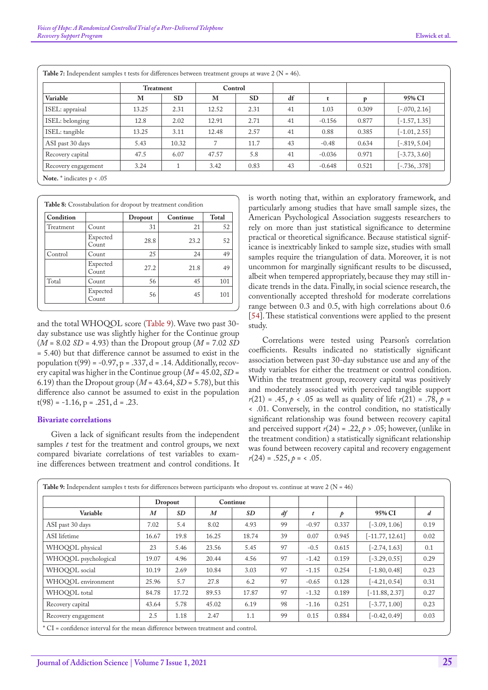|                     |       | Treatment |       | Control   |    |          |       |                 |
|---------------------|-------|-----------|-------|-----------|----|----------|-------|-----------------|
| Variable            | M     | <b>SD</b> | M     | <b>SD</b> | df |          | p     | 95% CI          |
| ISEL: appraisal     | 13.25 | 2.31      | 12.52 | 2.31      | 41 | 1.03     | 0.309 | $[-.070, 2.16]$ |
| ISEL: belonging     | 12.8  | 2.02      | 12.91 | 2.71      | 41 | $-0.156$ | 0.877 | $[-1.57, 1.35]$ |
| ISEL: tangible      | 13.25 | 3.11      | 12.48 | 2.57      | 41 | 0.88     | 0.385 | $[-1.01, 2.55]$ |
| ASI past 30 days    | 5.43  | 10.32     | 7     | 11.7      | 43 | $-0.48$  | 0.634 | $[-.819, 5.04]$ |
| Recovery capital    | 47.5  | 6.07      | 47.57 | 5.8       | 41 | $-0.036$ | 0.971 | $[-3.73, 3.60]$ |
| Recovery engagement | 3.24  |           | 3.42  | 0.83      | 43 | $-0.648$ | 0.521 | $[-.736, .378]$ |

<span id="page-7-0"></span>**Table 7:** Independent samples t tests for differences between treatment groups at wave 2 (N = 46).

|                  |  | <b>Table 8:</b> Crosstabulation for dropout by treatment condition |       |
|------------------|--|--------------------------------------------------------------------|-------|
| <b>Condition</b> |  | Dropout   Continue                                                 | Total |
|                  |  |                                                                    |       |

| Treatment | Count             | 31   | 21   | 52  |
|-----------|-------------------|------|------|-----|
|           | Expected<br>Count | 28.8 | 23.2 | 52  |
| Control   | Count             | 25   | 24   | 49  |
|           | Expected<br>Count | 27.2 | 21.8 | 49  |
| Total     | Count             | 56   | 45   | 101 |
|           | Expected<br>Count | 56   | 45   | 101 |

and the total WHOQOL score ([Table 9\)](#page-7-2). Wave two past 30 day substance use was slightly higher for the Continue group (*M* = 8.02 *SD* = 4.93) than the Dropout group (*M* = 7.02 *SD* = 5.40) but that difference cannot be assumed to exist in the population  $t(99) = -0.97$ , p = .337, d = .14. Additionally, recovery capital was higher in the Continue group ( $M = 45.02$ ,  $SD =$ 6.19) than the Dropout group  $(M = 43.64, SD = 5.78)$ , but this difference also cannot be assumed to exist in the population  $t(98) = -1.16$ , p = .251, d = .23.

#### **Bivariate correlations**

<span id="page-7-1"></span> $\mathcal{L}(\mathcal{L})$ 

Given a lack of significant results from the independent samples *t* test for the treatment and control groups, we next compared bivariate correlations of test variables to examine differences between treatment and control conditions. It

is worth noting that, within an exploratory framework, and particularly among studies that have small sample sizes, the American Psychological Association suggests researchers to rely on more than just statistical significance to determine practical or theoretical significance. Because statistical significance is inextricably linked to sample size, studies with small samples require the triangulation of data. Moreover, it is not uncommon for marginally significant results to be discussed, albeit when tempered appropriately, because they may still indicate trends in the data. Finally, in social science research, the conventionally accepted threshold for moderate correlations range between 0.3 and 0.5, with high correlations about 0.6 [[54\]](#page-11-7). These statistical conventions were applied to the present study.

Correlations were tested using Pearson's correlation coefficients. Results indicated no statistically significant association between past 30-day substance use and any of the study variables for either the treatment or control condition. Within the treatment group, recovery capital was positively and moderately associated with perceived tangible support  $r(21) = .45$ ,  $p < .05$  as well as quality of life  $r(21) = .78$ ,  $p =$ < .01. Conversely, in the control condition, no statistically significant relationship was found between recovery capital and perceived support  $r(24) = .22$ ,  $p > .05$ ; however, (unlike in the treatment condition) a statistically significant relationship was found between recovery capital and recovery engagement  $r(24) = .525, p = < .05.$ 

|                      |                  | Dropout |                  | Continue |    |         |       |                   |                  |
|----------------------|------------------|---------|------------------|----------|----|---------|-------|-------------------|------------------|
| Variable             | $\boldsymbol{M}$ | SD      | $\boldsymbol{M}$ | SD       | df | t       | p     | 95% CI            | $\boldsymbol{d}$ |
| ASI past 30 days     | 7.02             | 5.4     | 8.02             | 4.93     | 99 | $-0.97$ | 0.337 | $[-3.09, 1.06]$   | 0.19             |
| ASI lifetime         | 16.67            | 19.8    | 16.25            | 18.74    | 39 | 0.07    | 0.945 | $[-11.77, 12.61]$ | 0.02             |
| WHOQOL physical      | 23               | 5.46    | 23.56            | 5.45     | 97 | $-0.5$  | 0.615 | $[-2.74, 1.63]$   | 0.1              |
| WHOQOL psychological | 19.07            | 4.96    | 20.44            | 4.56     | 97 | $-1.42$ | 0.159 | $[-3.29, 0.55]$   | 0.29             |
| WHOOOL social        | 10.19            | 2.69    | 10.84            | 3.03     | 97 | $-1.15$ | 0.254 | $[-1.80, 0.48]$   | 0.23             |
| WHOOOL environment   | 25.96            | 5.7     | 27.8             | 6.2      | 97 | $-0.65$ | 0.128 | $[-4.21, 0.54]$   | 0.31             |
| WHOOOL total         | 84.78            | 17.72   | 89.53            | 17.87    | 97 | $-1.32$ | 0.189 | $[-11.88, 2.37]$  | 0.27             |
| Recovery capital     | 43.64            | 5.78    | 45.02            | 6.19     | 98 | $-1.16$ | 0.251 | $[-3.77, 1.00]$   | 0.23             |
| Recovery engagement  | 2.5              | 1.18    | 2.47             | 1.1      | 99 | 0.15    | 0.884 | $[-0.42, 0.49]$   | 0.03             |

<span id="page-7-2"></span>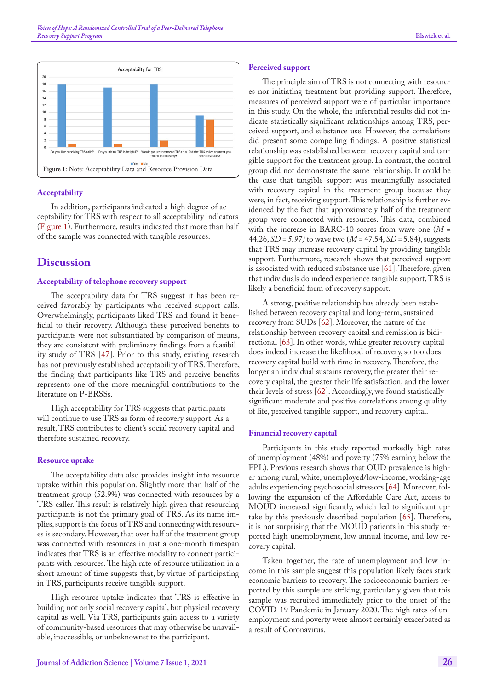

#### <span id="page-8-0"></span>**Acceptability**

In addition, participants indicated a high degree of acceptability for TRS with respect to all acceptability indicators ([Figure 1\)](#page-8-0). Furthermore, results indicated that more than half of the sample was connected with tangible resources.

#### **Discussion**

#### **Acceptability of telephone recovery support**

The acceptability data for TRS suggest it has been received favorably by participants who received support calls. Overwhelmingly, participants liked TRS and found it beneficial to their recovery. Although these perceived benefits to participants were not substantiated by comparison of means, they are consistent with preliminary findings from a feasibility study of TRS [[47\]](#page-11-13). Prior to this study, existing research has not previously established acceptability of TRS. Therefore, the finding that participants like TRS and perceive benefits represents one of the more meaningful contributions to the literature on P-BRSSs.

High acceptability for TRS suggests that participants will continue to use TRS as form of recovery support. As a result, TRS contributes to client's social recovery capital and therefore sustained recovery.

#### **Resource uptake**

The acceptability data also provides insight into resource uptake within this population. Slightly more than half of the treatment group (52.9%) was connected with resources by a TRS caller. This result is relatively high given that resourcing participants is not the primary goal of TRS. As its name implies, support is the focus of TRS and connecting with resources is secondary. However, that over half of the treatment group was connected with resources in just a one-month timespan indicates that TRS is an effective modality to connect participants with resources. The high rate of resource utilization in a short amount of time suggests that, by virtue of participating in TRS, participants receive tangible support.

High resource uptake indicates that TRS is effective in building not only social recovery capital, but physical recovery capital as well. Via TRS, participants gain access to a variety of community-based resources that may otherwise be unavailable, inaccessible, or unbeknownst to the participant.

#### **Perceived support**

The principle aim of TRS is not connecting with resources nor initiating treatment but providing support. Therefore, measures of perceived support were of particular importance in this study. On the whole, the inferential results did not indicate statistically significant relationships among TRS, perceived support, and substance use. However, the correlations did present some compelling findings. A positive statistical relationship was established between recovery capital and tangible support for the treatment group. In contrast, the control group did not demonstrate the same relationship. It could be the case that tangible support was meaningfully associated with recovery capital in the treatment group because they were, in fact, receiving support. This relationship is further evidenced by the fact that approximately half of the treatment group were connected with resources. This data, combined with the increase in BARC-10 scores from wave one (*M =*  44.26, *SD = 5.97)* to wave two (*M* = 47.54, *SD =* 5.84), suggests that TRS may increase recovery capital by providing tangible support. Furthermore, research shows that perceived support is associated with reduced substance use [[61\]](#page-11-14). Therefore, given that individuals do indeed experience tangible support, TRS is likely a beneficial form of recovery support.

A strong, positive relationship has already been established between recovery capital and long-term, sustained recovery from SUDs [[62\]](#page-11-15). Moreover, the nature of the relationship between recovery capital and remission is bidirectional [\[63](#page-11-16)]. In other words, while greater recovery capital does indeed increase the likelihood of recovery, so too does recovery capital build with time in recovery. Therefore, the longer an individual sustains recovery, the greater their recovery capital, the greater their life satisfaction, and the lower their levels of stress [\[62](#page-11-15)]. Accordingly, we found statistically significant moderate and positive correlations among quality of life, perceived tangible support, and recovery capital.

#### **Financial recovery capital**

Participants in this study reported markedly high rates of unemployment (48%) and poverty (75% earning below the FPL). Previous research shows that OUD prevalence is higher among rural, white, unemployed/low-income, working-age adults experiencing psychosocial stressors [\[64](#page-11-17)]. Moreover, following the expansion of the Affordable Care Act, access to MOUD increased significantly, which led to significant uptake by this previously described population [65]. Therefore, it is not surprising that the MOUD patients in this study reported high unemployment, low annual income, and low recovery capital.

Taken together, the rate of unemployment and low income in this sample suggest this population likely faces stark economic barriers to recovery. The socioeconomic barriers reported by this sample are striking, particularly given that this sample was recruited immediately prior to the onset of the COVID-19 Pandemic in January 2020. The high rates of unemployment and poverty were almost certainly exacerbated as a result of Coronavirus.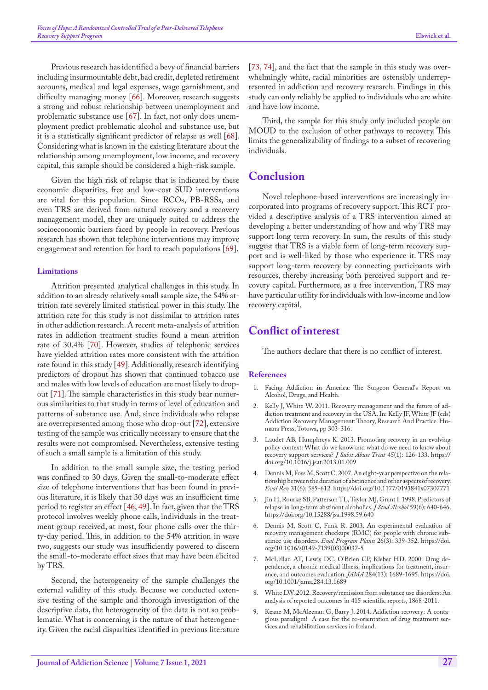Previous research has identified a bevy of financial barriers including insurmountable debt, bad credit, depleted retirement accounts, medical and legal expenses, wage garnishment, and difficulty managing money [[66\]](#page-11-2). Moreover, research suggests a strong and robust relationship between unemployment and problematic substance use [\[67](#page-11-18)]. In fact, not only does unemployment predict problematic alcohol and substance use, but it is a statistically significant predictor of relapse as well [[68\]](#page-11-19). Considering what is known in the existing literature about the relationship among unemployment, low income, and recovery capital, this sample should be considered a high-risk sample.

Given the high risk of relapse that is indicated by these economic disparities, free and low-cost SUD interventions are vital for this population. Since RCOs, PB-RSSs, and even TRS are derived from natural recovery and a recovery management model, they are uniquely suited to address the socioeconomic barriers faced by people in recovery. Previous research has shown that telephone interventions may improve engagement and retention for hard to reach populations [\[69](#page-11-20)].

#### **Limitations**

Attrition presented analytical challenges in this study. In addition to an already relatively small sample size, the 54% attrition rate severely limited statistical power in this study. The attrition rate for this study is not dissimilar to attrition rates in other addiction research. A recent meta-analysis of attrition rates in addiction treatment studies found a mean attrition rate of 30.4% [70]. However, studies of telephonic services have yielded attrition rates more consistent with the attrition rate found in this study [[49\]](#page-11-4). Additionally, research identifying predictors of dropout has shown that continued tobacco use and males with low levels of education are most likely to dropout [[71\]](#page-11-21). The sample characteristics in this study bear numerous similarities to that study in terms of level of education and patterns of substance use. And, since individuals who relapse are overrepresented among those who drop-out [\[72](#page-11-22)], extensive testing of the sample was critically necessary to ensure that the results were not compromised. Nevertheless, extensive testing of such a small sample is a limitation of this study.

In addition to the small sample size, the testing period was confined to 30 days. Given the small-to-moderate effect size of telephone interventions that has been found in previous literature, it is likely that 30 days was an insufficient time period to register an effect [[46,](#page-11-1) [49\]](#page-11-4). In fact, given that the TRS protocol involves weekly phone calls, individuals in the treatment group received, at most, four phone calls over the thirty-day period. This, in addition to the 54% attrition in wave two, suggests our study was insufficiently powered to discern the small-to-moderate effect sizes that may have been elicited by TRS.

Second, the heterogeneity of the sample challenges the external validity of this study. Because we conducted extensive testing of the sample and thorough investigation of the descriptive data, the heterogeneity of the data is not so problematic. What is concerning is the nature of that heterogeneity. Given the racial disparities identified in previous literature

[[73,](#page-11-23) [74\]](#page-11-24), and the fact that the sample in this study was overwhelmingly white, racial minorities are ostensibly underrepresented in addiction and recovery research. Findings in this study can only reliably be applied to individuals who are white and have low income.

Third, the sample for this study only included people on MOUD to the exclusion of other pathways to recovery. This limits the generalizability of findings to a subset of recovering individuals.

### **Conclusion**

Novel telephone-based interventions are increasingly incorporated into programs of recovery support. This RCT provided a descriptive analysis of a TRS intervention aimed at developing a better understanding of how and why TRS may support long term recovery. In sum, the results of this study suggest that TRS is a viable form of long-term recovery support and is well-liked by those who experience it. TRS may support long-term recovery by connecting participants with resources, thereby increasing both perceived support and recovery capital. Furthermore, as a free intervention, TRS may have particular utility for individuals with low-income and low recovery capital.

### **Conflict of interest**

The authors declare that there is no conflict of interest.

#### **References**

- <span id="page-9-0"></span>1. [Facing Addiction in America: The Surgeon General](https://www.ncbi.nlm.nih.gov/books/NBK424857/)'s Report on [Alcohol, Drugs, and Health.](https://www.ncbi.nlm.nih.gov/books/NBK424857/)
- <span id="page-9-1"></span>2. Kelly J, White W. 2011. Recovery management and the future of addiction treatment and recovery in the USA. In: Kelly JF, White JF (eds) Addiction Recovery Management: Theory, Research And Practice. Humana Press, Totowa, pp 303-316.
- <span id="page-9-2"></span>3. [Laudet AB, Humphreys K. 2013. Promoting recovery in an evolving](https://pubmed.ncbi.nlm.nih.gov/23506781/)  [policy context: What do we know and what do we need to know about](https://pubmed.ncbi.nlm.nih.gov/23506781/)  [recovery support services?](https://pubmed.ncbi.nlm.nih.gov/23506781/) *J Subst Abuse Treat* 45(1): 126-133. [https://](https://doi.org/10.1016/j.jsat.2013.01.009) [doi.org/10.1016/j.jsat.2013.01.009](https://doi.org/10.1016/j.jsat.2013.01.009)
- <span id="page-9-3"></span>4. [Dennis M, Foss M, Scott C. 2007. An eight-year perspective on the rela](https://pubmed.ncbi.nlm.nih.gov/17986709/)[tionship between the duration of abstinence and other aspects of recovery.](https://pubmed.ncbi.nlm.nih.gov/17986709/)  *Eval Rev* [31\(6\): 585-612.](https://pubmed.ncbi.nlm.nih.gov/17986709/) <https://doi.org/10.1177/0193841x07307771>
- <span id="page-9-4"></span>5. [Jin H, Rourke SB, Patterson TL, Taylor MJ, Grant I. 1998. Predictors of](https://pubmed.ncbi.nlm.nih.gov/9811085/)  [relapse in long-term abstinent alcoholics](https://pubmed.ncbi.nlm.nih.gov/9811085/)*. J Stud Alcohol* 59(6): 640-646. <https://doi.org/10.15288/jsa.1998.59.640>
- <span id="page-9-5"></span>6. [Dennis M, Scott C, Funk R. 2003. An experimental evaluation of](https://pubmed.ncbi.nlm.nih.gov/30034059/)  [recovery management checkups \(RMC\) for people with chronic sub](https://pubmed.ncbi.nlm.nih.gov/30034059/)[stance use disorders.](https://pubmed.ncbi.nlm.nih.gov/30034059/) *Eval Program Plann* 26(3): 339-352. [https://doi.](https://doi.org/10.1016/s0149-7189(03)00037-5) [org/10.1016/s0149-7189\(03\)00037-5](https://doi.org/10.1016/s0149-7189(03)00037-5)
- <span id="page-9-6"></span>7. McLellan AT, Lewis DC, O['Brien CP, Kleber HD. 2000. Drug de](https://pubmed.ncbi.nlm.nih.gov/11015800/)[pendence, a chronic medical illness: implications for treatment, insur](https://pubmed.ncbi.nlm.nih.gov/11015800/)[ance, and outcomes evaluation.](https://pubmed.ncbi.nlm.nih.gov/11015800/) *JAMA* 284(13): 1689-1695. [https://doi.](https://doi.org/10.1001/jama.284.13.1689) [org/10.1001/jama.284.13.1689](https://doi.org/10.1001/jama.284.13.1689)
- 8. [White LW. 2012. Recovery/remission from substance use disorders: An](https://www.naadac.org/assets/2416/whitewl2012_recoveryremission_from_substance_abuse_disorders.pdf)  [analysis of reported outcomes in 415 scientific reports, 1868-2011.](https://www.naadac.org/assets/2416/whitewl2012_recoveryremission_from_substance_abuse_disorders.pdf)
- <span id="page-9-7"></span>9. Keane M, McAleenan G, Barry J. 2014. Addiction recovery: A contagious paradigm! A case for the re-orientation of drug treatment services and rehabilitation services in Ireland.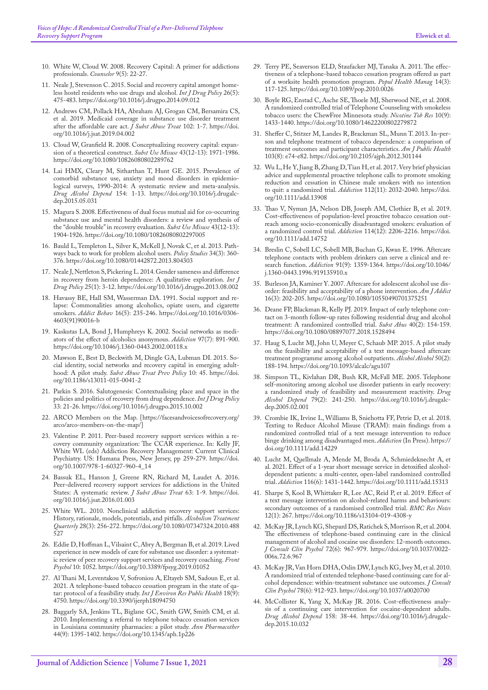- 10. White W, Cloud W. 2008. Recovery Capital: A primer for addictions professionals. *Counselor* 9(5): 22-27.
- <span id="page-10-0"></span>11. [Neale J, Stevenson C. 2015. Social and recovery capital amongst home](https://pubmed.ncbi.nlm.nih.gov/25449052/)[less hostel residents who use drugs and alcohol.](https://pubmed.ncbi.nlm.nih.gov/25449052/) *Int J Drug Policy* 26(5): [475-483.](https://pubmed.ncbi.nlm.nih.gov/25449052/) <https://doi.org/10.1016/j.drugpo.2014.09.012>
- <span id="page-10-1"></span>12. [Andrews CM, Pollack HA, Abraham AJ, Grogan CM, Bersamira CS,](https://pubmed.ncbi.nlm.nih.gov/31202283/)  [et al. 2019. Medicaid coverage in substance use disorder treatment](https://pubmed.ncbi.nlm.nih.gov/31202283/)  [after the affordable care act.](https://pubmed.ncbi.nlm.nih.gov/31202283/) *J Subst Abuse Treat* 102: 1-7. [https://doi.](https://doi.org/10.1016/j.jsat.2019.04.002) [org/10.1016/j.jsat.2019.04.002](https://doi.org/10.1016/j.jsat.2019.04.002)
- <span id="page-10-2"></span>13. [Cloud W, Granfield R. 2008. Conceptualizing recovery capital: expan](https://pubmed.ncbi.nlm.nih.gov/19016174/)[sion of a theoretical construct.](https://pubmed.ncbi.nlm.nih.gov/19016174/) *Subst Use Misuse* 43(12-13): 1971-1986. <https://doi.org/10.1080/10826080802289762>
- <span id="page-10-3"></span>14. [Lai HMX, Cleary M, Sitharthan T, Hunt GE. 2015. Prevalence of](https://pubmed.ncbi.nlm.nih.gov/26072219/)  [comorbid substance use, anxiety and mood disorders in epidemio](https://pubmed.ncbi.nlm.nih.gov/26072219/)[logical surveys, 1990-2014: A systematic review and meta-analysis.](https://pubmed.ncbi.nlm.nih.gov/26072219/)  *[Drug Alcohol Depend](https://pubmed.ncbi.nlm.nih.gov/26072219/)* 154: 1-13. [https://doi.org/10.1016/j.drugalc](https://doi.org/10.1016/j.drugalcdep.2015.05.031)[dep.2015.05.031](https://doi.org/10.1016/j.drugalcdep.2015.05.031)
- <span id="page-10-4"></span>15. [Magura S. 2008. Effectiveness of dual focus mutual aid for co-occurring](https://pubmed.ncbi.nlm.nih.gov/19016171/)  [substance use and mental health disorders: a review and synthesis of](https://pubmed.ncbi.nlm.nih.gov/19016171/)  [the "double trouble" in recovery evaluation.](https://pubmed.ncbi.nlm.nih.gov/19016171/) *Subst Use Misuse* 43(12-13): [1904-1926.](https://pubmed.ncbi.nlm.nih.gov/19016171/) <https://doi.org/10.1080/10826080802297005>
- <span id="page-10-5"></span>16. [Bauld L, Templeton L, Silver K, McKell J, Novak C, et al. 2013. Path](https://www.tandfonline.com/doi/abs/10.1080/01442872.2013.804303)[ways back to work for problem alcohol users.](https://www.tandfonline.com/doi/abs/10.1080/01442872.2013.804303) *Policy Studies* 34(3): 360- [376.](https://www.tandfonline.com/doi/abs/10.1080/01442872.2013.804303) <https://doi.org/10.1080/01442872.2013.804303>
- <span id="page-10-6"></span>17. [Neale J, Nettleton S, Pickering L. 2014. Gender sameness and difference](https://pubmed.ncbi.nlm.nih.gov/24041800/)  [in recovery from heroin dependence: A qualitative exploration.](https://pubmed.ncbi.nlm.nih.gov/24041800/) *Int J Drug Policy* [25\(1\): 3-12.](https://pubmed.ncbi.nlm.nih.gov/24041800/) <https://doi.org/10.1016/j.drugpo.2013.08.002>
- <span id="page-10-7"></span>18. [Havassy BE, Hall SM, Wasserman DA. 1991. Social support and re](https://pubmed.ncbi.nlm.nih.gov/1663695/)[lapse: Commonalities among alcoholics, opiate users, and cigarette](https://pubmed.ncbi.nlm.nih.gov/1663695/)  smokers. *Addict Behav* [16\(5\): 235-246.](https://pubmed.ncbi.nlm.nih.gov/1663695/) [https://doi.org/10.1016/0306-](https://doi.org/10.1016/0306-4603(91)90016-b) [4603\(91\)90016-b](https://doi.org/10.1016/0306-4603(91)90016-b)
- 19. [Kaskutas LA, Bond J, Humphreys K. 2002. Social networks as medi](https://pubmed.ncbi.nlm.nih.gov/12133128/)[ators of the effect of alcoholics anonymous.](https://pubmed.ncbi.nlm.nih.gov/12133128/) *Addiction* 97(7): 891-900. <https://doi.org/10.1046/j.1360-0443.2002.00118.x>
- <span id="page-10-8"></span>20. [Mawson E, Best D, Beckwith M, Dingle GA, Lubman DI. 2015. So](https://pubmed.ncbi.nlm.nih.gov/26560076/)[cial identity, social networks and recovery capital in emerging adult](https://pubmed.ncbi.nlm.nih.gov/26560076/)hood: A pilot study. *[Subst Abuse Treat Prev Policy](https://pubmed.ncbi.nlm.nih.gov/26560076/)* 10: 45. [https://doi.](https://doi.org/10.1186/s13011-015-0041-2) [org/10.1186/s13011-015-0041-2](https://doi.org/10.1186/s13011-015-0041-2)
- <span id="page-10-9"></span>21. [Parkin S. 2016. Salutogenesis: Contextualising place and space in the](https://pubmed.ncbi.nlm.nih.gov/26616849/)  [policies and politics of recovery from drug dependence.](https://pubmed.ncbi.nlm.nih.gov/26616849/) *Int J Drug Policy* [33: 21-26.](https://pubmed.ncbi.nlm.nih.gov/26616849/) <https://doi.org/10.1016/j.drugpo.2015.10.002>
- <span id="page-10-10"></span>22. [ARCO Members on the Map](https://facesandvoicesofrecovery.org/arco/arco-members-on-the-map/). [https://facesandvoicesofrecovery.org/ arco/arco-members-on-the-map/]
- 23. [Valentine P. 2011. Peer-based recovery support services within a re](https://link.springer.com/chapter/10.1007/978-1-60327-960-4_14)[covery community organization: The CCAR experience. In: Kelly JF,](https://link.springer.com/chapter/10.1007/978-1-60327-960-4_14)  [White WL \(eds\) Addiction Recovery Management: Current Clinical](https://link.springer.com/chapter/10.1007/978-1-60327-960-4_14)  [Psychiatry. US: Humana Press, New Jersey, pp 259-279.](https://link.springer.com/chapter/10.1007/978-1-60327-960-4_14) [https://doi.](https://doi.org/10.1007/978-1-60327-960-4_14) [org/10.1007/978-1-60327-960-4\\_14](https://doi.org/10.1007/978-1-60327-960-4_14)
- <span id="page-10-11"></span>24. [Bassuk EL, Hanson J, Greene RN, Richard M, Laudet A. 2016.](https://pubmed.ncbi.nlm.nih.gov/26882891/)  [Peer-delivered recovery support services for addictions in the United](https://pubmed.ncbi.nlm.nih.gov/26882891/)  [States: A systematic review.](https://pubmed.ncbi.nlm.nih.gov/26882891/) *J Subst Abuse Treat* 63: 1-9. [https://doi.](https://doi.org/10.1016/j.jsat.2016.01.003) [org/10.1016/j.jsat.2016.01.003](https://doi.org/10.1016/j.jsat.2016.01.003)
- 25. [White WL. 2010. Nonclinical addiction recovery support services:](https://www.tandfonline.com/doi/abs/10.1080/07347324.2010.488527)  [History, rationale, models, potentials, and pitfalls.](https://www.tandfonline.com/doi/abs/10.1080/07347324.2010.488527) *Alcoholism Treatment Quarterly* [28\(3\): 256-272.](https://www.tandfonline.com/doi/abs/10.1080/07347324.2010.488527) [https://doi.org/10.1080/07347324.2010.488](https://doi.org/10.1080/07347324.2010.488527) [527](https://doi.org/10.1080/07347324.2010.488527)
- <span id="page-10-12"></span>26. [Eddie D, Hoffman L, Vilsaint C, Abry A, Bergman B, et al. 2019. Lived](https://pubmed.ncbi.nlm.nih.gov/31263434/)  [experience in new models of care for substance use disorder: a systemat](https://pubmed.ncbi.nlm.nih.gov/31263434/)[ic review of peer recovery support services and recovery coaching.](https://pubmed.ncbi.nlm.nih.gov/31263434/) *Front Psychol* [10: 1052.](https://pubmed.ncbi.nlm.nih.gov/31263434/) <https://doi.org/10.3389/fpsyg.2019.01052>
- <span id="page-10-13"></span>27. [Al Thani M, Leventakou V, Sofroniou A, Eltayeb SM, Sadoun E, et al.](https://pubmed.ncbi.nlm.nih.gov/33946848/)  [2021. A telephone-based tobacco cessation program in the state of qa](https://pubmed.ncbi.nlm.nih.gov/33946848/)[tar: protocol of a feasibility study.](https://pubmed.ncbi.nlm.nih.gov/33946848/) *Int J Environ Res Public Health* 18(9): [4750.](https://pubmed.ncbi.nlm.nih.gov/33946848/) <https://doi.org/10.3390/ijerph18094750>
- 28. [Baggarly SA, Jenkins TL, Biglane GC, Smith GW, Smith CM, et al.](https://pubmed.ncbi.nlm.nih.gov/20628045/)  [2010. Implementing a referral to telephone tobacco cessation services](https://pubmed.ncbi.nlm.nih.gov/20628045/)  [in Louisiana community pharmacies: a pilot study.](https://pubmed.ncbi.nlm.nih.gov/20628045/) *Ann Pharmacother* [44\(9\): 1395-1402.](https://pubmed.ncbi.nlm.nih.gov/20628045/) <https://doi.org/10.1345/aph.1p226>
- <span id="page-10-14"></span>29. [Terry PE, Seaverson ELD, Staufacker MJ, Tanaka A. 2011. The effec](https://pubmed.ncbi.nlm.nih.gov/21323463/)[tiveness of a telephone-based tobacco cessation program offered as part](https://pubmed.ncbi.nlm.nih.gov/21323463/)  [of a worksite health promotion program.](https://pubmed.ncbi.nlm.nih.gov/21323463/) *Popul Health Manag* 14(3): [117-125.](https://pubmed.ncbi.nlm.nih.gov/21323463/) <https://doi.org/10.1089/pop.2010.0026>
- <span id="page-10-15"></span>30. [Boyle RG, Enstad C, Asche SE, Thoele MJ, Sherwood NE, et al. 2008.](https://pubmed.ncbi.nlm.nih.gov/19023834/)  [A randomized controlled trial of Telephone Counseling with smokeless](https://pubmed.ncbi.nlm.nih.gov/19023834/)  [tobacco users: the ChewFree Minnesota study.](https://pubmed.ncbi.nlm.nih.gov/19023834/) *Nicotine Tob Res* 10(9): [1433-1440.](https://pubmed.ncbi.nlm.nih.gov/19023834/) <https://doi.org/10.1080/14622200802279872>
- <span id="page-10-16"></span>31. [Sheffer C, Stitzer M, Landes R, Brackman SL, Munn T. 2013. In-per](https://pubmed.ncbi.nlm.nih.gov/23763416/)[son and telephone treatment of tobacco dependence: a comparison of](https://pubmed.ncbi.nlm.nih.gov/23763416/)  [treatment outcomes and participant characteristics.](https://pubmed.ncbi.nlm.nih.gov/23763416/) *Am J Public Health* [103\(8\): e74-e82.](https://pubmed.ncbi.nlm.nih.gov/23763416/) <https://doi.org/10.2105/ajph.2012.301144>
- 32. [Wu L, He Y, Jiang B, Zhang D, Tian H, et al. 2017. Very brief physician](https://pubmed.ncbi.nlm.nih.gov/28623848/)  [advice and supplemental proactive telephone calls to promote smoking](https://pubmed.ncbi.nlm.nih.gov/28623848/)  [reduction and cessation in Chinese male smokers with no intention](https://pubmed.ncbi.nlm.nih.gov/28623848/)  [to quit: a randomized trial.](https://pubmed.ncbi.nlm.nih.gov/28623848/) *Addiction* 112(11): 2032-2040. [https://doi.](https://doi.org/10.1111/add.13908) [org/10.1111/add.13908](https://doi.org/10.1111/add.13908)
- 33. [Thao V, Nyman JA, Nelson DB, Joseph AM, Clothier B, et al. 2019.](https://pubmed.ncbi.nlm.nih.gov/31483549/)  Cost-effectiveness of population-level proactive tobacco cessation out[reach among socio‐economically disadvantaged smokers: evaluation of](https://pubmed.ncbi.nlm.nih.gov/31483549/)  [a randomized control trial.](https://pubmed.ncbi.nlm.nih.gov/31483549/) *Addiction* 114(12): 2206-2216. [https://doi.](https://doi.org/10.1111/add.14752) [org/10.1111/add.14752](https://doi.org/10.1111/add.14752)
- <span id="page-10-17"></span>34. [Breslin C, Sobell LC, Sobell MB, Buchan G, Kwan E. 1996. Aftercare](https://pubmed.ncbi.nlm.nih.gov/8854371/)  [telephone contacts with problem drinkers can serve a clinical and re](https://pubmed.ncbi.nlm.nih.gov/8854371/)search function. *Addiction* [91\(9\): 1359-1364.](https://pubmed.ncbi.nlm.nih.gov/8854371/) [https://doi.org/10.1046/](https://doi.org/10.1046/j.1360-0443.1996.919135910.x) [j.1360-0443.1996.919135910.x](https://doi.org/10.1046/j.1360-0443.1996.919135910.x)
- 35. [Burleson JA, Kaminer Y. 2007. Aftercare for adolescent alcohol use dis](https://onlinelibrary.wiley.com/doi/abs/10.1080/10550490701375251)[order: feasibility and acceptability of a phone intervention.](https://onlinelibrary.wiley.com/doi/abs/10.1080/10550490701375251) *Am J Addict* [16\(3\): 202-205.](https://onlinelibrary.wiley.com/doi/abs/10.1080/10550490701375251) <https://doi.org/10.1080/10550490701375251>
- 36. [Deane FP, Blackman R, Kelly PJ. 2019. Impact of early telephone con](https://pubmed.ncbi.nlm.nih.gov/30457934/)[tact on 3-month follow-up rates following residential drug and alcohol](https://pubmed.ncbi.nlm.nih.gov/30457934/)  [treatment: A randomized controlled trial.](https://pubmed.ncbi.nlm.nih.gov/30457934/) *Subst Abus* 40(2): 154-159. <https://doi.org/10.1080/08897077.2018.1528494>
- 37. [Haug S, Lucht MJ, John U, Meyer C, Schaub MP. 2015. A pilot study](https://pubmed.ncbi.nlm.nih.gov/25600249/)  [on the feasibility and acceptability of a text message-based aftercare](https://pubmed.ncbi.nlm.nih.gov/25600249/)  [treatment programme among alcohol outpatients.](https://pubmed.ncbi.nlm.nih.gov/25600249/) *Alcohol Alcohol* 50(2): [188-194.](https://pubmed.ncbi.nlm.nih.gov/25600249/) <https://doi.org/10.1093/alcalc/agu107>
- <span id="page-10-18"></span>38. [Simpson TL, Kivlahan DR, Bush KR, McFall ME. 2005. Telephone](https://pubmed.ncbi.nlm.nih.gov/16002033/)  [self-monitoring among alcohol use disorder patients in early recovery:](https://pubmed.ncbi.nlm.nih.gov/16002033/)  [a randomized study of feasibility and measurement reactivity.](https://pubmed.ncbi.nlm.nih.gov/16002033/) *Drug Alcohol Depend* [79\(2\): 241-250.](https://pubmed.ncbi.nlm.nih.gov/16002033/) [https://doi.org/10.1016/j.drugalc](https://doi.org/10.1016/j.drugalcdep.2005.02.001)[dep.2005.02.001](https://doi.org/10.1016/j.drugalcdep.2005.02.001)
- <span id="page-10-19"></span>39. [Crombie IK, Irvine L, Williams B, Sniehotta FF, Petrie D, et al. 2018.](https://pubmed.ncbi.nlm.nih.gov/29855105/)  [Texting to Reduce Alcohol Misuse \(TRAM\): main findings from a](https://pubmed.ncbi.nlm.nih.gov/29855105/)  [randomized controlled trial of a text message intervention to reduce](https://pubmed.ncbi.nlm.nih.gov/29855105/)  [binge drinking among disadvantaged men.](https://pubmed.ncbi.nlm.nih.gov/29855105/) *Addiction* (In Press). [https://](https://doi.org/10.1111/add.14229) [doi.org/10.1111/add.14229](https://doi.org/10.1111/add.14229)
- 40. [Lucht M, Quellmalz A, Mende M, Broda A, Schmiedeknecht A, et](https://pubmed.ncbi.nlm.nih.gov/33155711/)  al. 2021. Effect of a 1-year short message service in detoxified alcohol[dependent patients: a multi‐center, open‐label randomized controlled](https://pubmed.ncbi.nlm.nih.gov/33155711/)  trial. *Addiction* [116\(6\): 1431-1442.](https://pubmed.ncbi.nlm.nih.gov/33155711/) <https://doi.org/10.1111/add.15313>
- <span id="page-10-20"></span>41. [Sharpe S, Kool B, Whittaker R, Lee AC, Reid P, et al. 2019. Effect of](https://pubmed.ncbi.nlm.nih.gov/31088559/)  [a text message intervention on alcohol-related harms and behaviours:](https://pubmed.ncbi.nlm.nih.gov/31088559/)  [secondary outcomes of a randomised controlled trial.](https://pubmed.ncbi.nlm.nih.gov/31088559/) *BMC Res Notes* [12\(1\): 267.](https://pubmed.ncbi.nlm.nih.gov/31088559/) <https://doi.org/10.1186/s13104-019-4308-y>
- <span id="page-10-21"></span>42. [McKay JR, Lynch KG, Shepard DS, Ratichek S, Morrison R, et al. 2004.](https://pubmed.ncbi.nlm.nih.gov/15612844/)  [The effectiveness of telephone-based continuing care in the clinical](https://pubmed.ncbi.nlm.nih.gov/15612844/)  [management of alcohol and cocaine use disorders: 12-month outcomes.](https://pubmed.ncbi.nlm.nih.gov/15612844/)  *[J Consult Clin Psychol](https://pubmed.ncbi.nlm.nih.gov/15612844/)* 72(6): 967-979. [https://doi.org/10.1037/0022-](https://doi.org/10.1037/0022-006x.72.6.967) [006x.72.6.967](https://doi.org/10.1037/0022-006x.72.6.967)
- <span id="page-10-22"></span>43. [McKay JR, Van Horn DHA, Oslin DW, Lynch KG, Ivey M, et al. 2010.](https://pubmed.ncbi.nlm.nih.gov/20873894/)  [A randomized trial of extended telephone-based continuing care for al](https://pubmed.ncbi.nlm.nih.gov/20873894/)[cohol dependence: within-treatment substance use outcomes.](https://pubmed.ncbi.nlm.nih.gov/20873894/) *J Consult Clin Psychol* [78\(6\): 912-923.](https://pubmed.ncbi.nlm.nih.gov/20873894/) <https://doi.org/10.1037/a0020700>
- <span id="page-10-23"></span>44. [McCollister K, Yang X, McKay JR. 2016. Cost-effectiveness analy](https://pubmed.ncbi.nlm.nih.gov/26621551/)[sis of a continuing care intervention for cocaine-dependent adults.](https://pubmed.ncbi.nlm.nih.gov/26621551/)  *[Drug Alcohol Depend](https://pubmed.ncbi.nlm.nih.gov/26621551/)* 158: 38-44. [https://doi.org/10.1016/j.drugalc](https://doi.org/10.1016/j.drugalcdep.2015.10.032)[dep.2015.10.032](https://doi.org/10.1016/j.drugalcdep.2015.10.032)